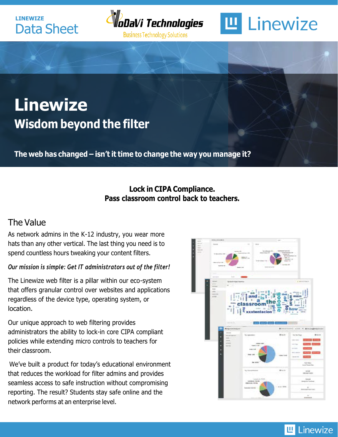



# **Linewize Wisdom beyond the filter**

**The web has changed – isn't it time to change the way you manage it?**

## **Lock in CIPA Compliance. Pass classroom control back to teachers.**

# The Value

**LINEWIZE**

Data Sheet

As network admins in the K-12 industry, you wear more hats than any other vertical. The last thing you need is to spend countless hours tweaking your content filters.

### *Our mission is simple: Get IT administrators out of the filter!*

The Linewize web filter is a pillar within our eco-system that offers granular control over websites and applications regardless of the device type, operating system, or location.

Our unique approach to web filtering provides administrators the ability to lock-in core CIPA compliant policies while extending micro controls to teachers for their classroom.

We've built a product for today's educational environment that reduces the workload for filter admins and provides seamless access to safe instruction without compromising reporting. The result? Students stay safe online and the network performs at an enterprise level.



# **L** Linewize